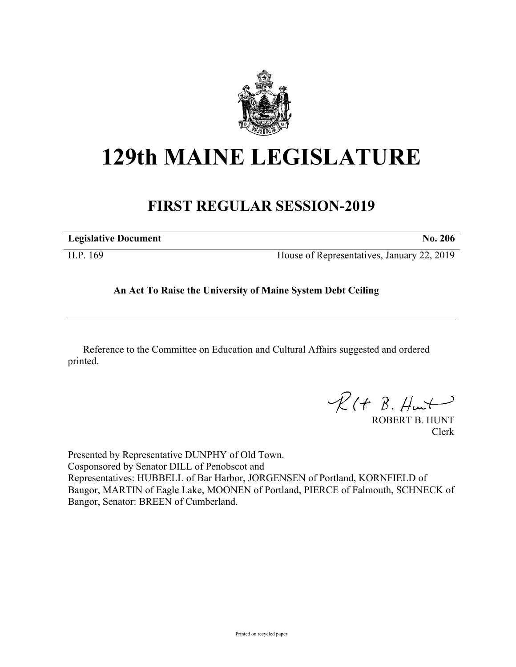

# **129th MAINE LEGISLATURE**

## **FIRST REGULAR SESSION-2019**

| <b>Legislative Document</b> | No. 206                                    |
|-----------------------------|--------------------------------------------|
| H.P. 169                    | House of Representatives, January 22, 2019 |

### **An Act To Raise the University of Maine System Debt Ceiling**

Reference to the Committee on Education and Cultural Affairs suggested and ordered printed.

 $R(t B. Hmt)$ 

ROBERT B. HUNT Clerk

Presented by Representative DUNPHY of Old Town. Cosponsored by Senator DILL of Penobscot and Representatives: HUBBELL of Bar Harbor, JORGENSEN of Portland, KORNFIELD of Bangor, MARTIN of Eagle Lake, MOONEN of Portland, PIERCE of Falmouth, SCHNECK of Bangor, Senator: BREEN of Cumberland.